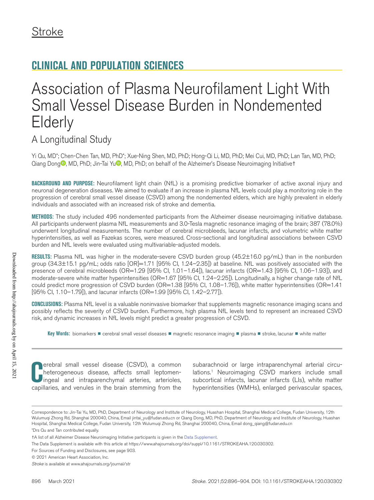# **CLINICAL AND POPULATION SCIENCES**

# Association of Plasma Neurofilament Light With Small Vessel Disease Burden in Nondemented **Elderly**

## A Longitudinal Study

Yi Qu, MD\*; Chen-Chen Tan, MD, PhD\*; Xue-Ning Shen, MD, PhD; Hong-Qi Li, MD, PhD; Mei Cui, MD, PhD; Lan Tan, MD, PhD; Qiang Dong<sup>o</sup>[,](https://orcid.org/0000-0002-7686-0547) MD, PhD; Jin-Tai Yu<sup>o</sup>, MD, PhD; on behalf of the Alzheimer's Disease Neuroimaging Initiativet

**BACKGROUND AND PURPOSE:** Neurofilament light chain (NfL) is a promising predictive biomarker of active axonal injury and neuronal degeneration diseases. We aimed to evaluate if an increase in plasma NfL levels could play a monitoring role in the progression of cerebral small vessel disease (CSVD) among the nondemented elders, which are highly prevalent in elderly individuals and associated with an increased risk of stroke and dementia.

**METHODS:** The study included 496 nondemented participants from the Alzheimer disease neuroimaging initiative database. All participants underwent plasma NfL measurements and 3.0-Tesla magnetic resonance imaging of the brain; 387 (78.0%) underwent longitudinal measurements. The number of cerebral microbleeds, lacunar infarcts, and volumetric white matter hyperintensities, as well as Fazekas scores, were measured. Cross-sectional and longitudinal associations between CSVD burden and NfL levels were evaluated using multivariable-adjusted models.

**RESULTS:** Plasma NfL was higher in the moderate-severe CSVD burden group (45.2±16.0 pg/mL) than in the nonburden group (34.3±15.1 pg/mL; odds ratio [OR]=1.71 [95% CI, 1.24–2.35]) at baseline. NfL was positively associated with the presence of cerebral microbleeds (OR=1.29 [95% CI, 1.01-1.64]), lacunar infarcts (OR=1.43 [95% CI, 1.06-1.93]), and moderate-severe white matter hyperintensities (OR=1.67 [95% CI, 1.24–2.25]). Longitudinally, a higher change rate of NfL could predict more progression of CSVD burden (OR=1.38 [95% CI, 1.08–1.76]), white matter hyperintensities (OR=1.41 [95% CI, 1.10–1.79]), and lacunar infarcts (OR=1.99 [95% CI, 1.42–2.77]).

**CONCLUSIONS:** Plasma NfL level is a valuable noninvasive biomarker that supplements magnetic resonance imaging scans and possibly reflects the severity of CSVD burden. Furthermore, high plasma NfL levels tend to represent an increased CSVD risk, and dynamic increases in NfL levels might predict a greater progression of CSVD.

**Key Words:** biomarkers ◼ cerebral small vessel diseases ◼ magnetic resonance imaging ◼ plasma ◼ stroke, lacunar ◼ white matter

**CENCI** small vessel disease (CSVD), a common heterogeneous disease, affects small leptomen-ingeal and intraparenchymal arteries, arterioles, capillaries, and venules in the brain stemming from the erebral small vessel disease (CSVD), a common heterogeneous disease, affects small leptomeningeal and intraparenchymal arteries, arterioles,

subarachnoid or large intraparenchymal arterial circulations.<sup>1</sup> Neuroimaging CSVD markers include small subcortical infarcts, lacunar infarcts (LIs), white matter hyperintensities (WMHs), enlarged perivascular spaces,

Correspondence to: Jin-Tai Yu, MD, PhD, Department of Neurology and Institute of Neurology, Huashan Hospital, Shanghai Medical College, Fudan University, 12th Wulumuqi Zhong Rd, Shanghai 200040, China, Email [jintai\\_yu@fudan.edu.cn](mailto:jintai_yu@fudan.edu.cn) or Qiang Dong, MD, PhD, Department of Neurology and Institute of Neurology, Huashan Hospital, Shanghai Medical College, Fudan University, 12th Wulumuqi Zhong Rd, Shanghai 200040, China, Email [dong\\_qiang@fudan.edu.cn](mailto:dong_qiang@fudan.edu.cn)

<sup>\*</sup>Drs Qu and Tan contributed equally.

<sup>†</sup>A list of all Alzheimer Disease Neuroimaging Initiative participants is given in the [Data Supplement](https://www.ahajournals.org/doi/suppl/10.1161/STROKEAHA.120.030302).

The Data Supplement is available with this article at [https://www.ahajournals.org/doi/suppl/10.1161/STROKEAHA.120.030302.](https://www.ahajournals.org/doi/suppl/10.1161/STROKEAHA.120.030302)

For Sources of Funding and Disclosures, see page 903.

<sup>© 2021</sup> American Heart Association, Inc.

*Stroke* is available at www.ahajournals.org/journal/str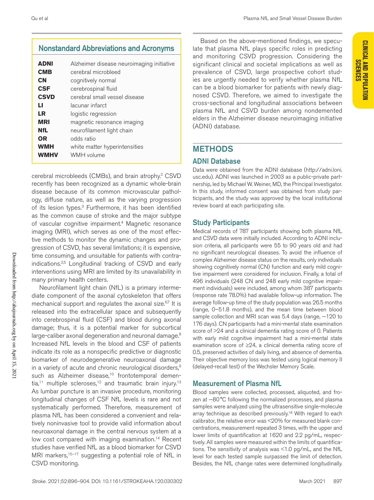## Nonstandard Abbreviations and Acronyms

| <b>ADNI</b> | Alzheimer disease neuroimaging initiative |
|-------------|-------------------------------------------|
| <b>CMB</b>  | cerebral microbleed                       |
| <b>CN</b>   | cognitively normal                        |
| <b>CSF</b>  | cerebrospinal fluid                       |
| <b>CSVD</b> | cerebral small vessel disease             |
| ы           | lacunar infarct                           |
| LR          | logistic regression                       |
| <b>MRI</b>  | magnetic resonance imaging                |
| NfL         | neurofilament light chain                 |
| <b>OR</b>   | odds ratio                                |
| <b>WMH</b>  | white matter hyperintensities             |
| WMHV        | WMH volume                                |
|             |                                           |

cerebral microbleeds (CMBs), and brain atrophy.2 CSVD recently has been recognized as a dynamic whole-brain disease because of its common microvascular pathology, diffuse nature, as well as the varying progression of its lesion types.<sup>3</sup> Furthermore, it has been identified as the common cause of stroke and the major subtype of vascular cognitive impairment.<sup>4</sup> Magnetic resonance imaging (MRI), which serves as one of the most effective methods to monitor the dynamic changes and progression of CSVD, has several limitations; it is expensive, time consuming, and unsuitable for patients with contraindications.2,5 Longitudinal tracking of CSVD and early interventions using MRI are limited by its unavailability in many primary health centers.

Neurofilament light chain (NfL) is a primary intermediate component of the axonal cytoskeleton that offers mechanical support and regulates the axonal size.<sup>6,7</sup> It is released into the extracellular space and subsequently into cerebrospinal fluid (CSF) and blood during axonal damage; thus, it is a potential marker for subcortical large-caliber axonal degeneration and neuronal damage.<sup>8</sup> Increased NfL levels in the blood and CSF of patients indicate its role as a nonspecific predictive or diagnostic biomarker of neurodegenerative neuroaxonal damage in a variety of acute and chronic neurological disorders,<sup>9</sup> such as Alzheimer disease,<sup>10</sup> frontotemporal demen $tia$ ,<sup>11</sup> multiple scleroses,<sup>12</sup> and traumatic brain injury.<sup>13</sup> As lumbar puncture is an invasive procedure, monitoring longitudinal changes of CSF NfL levels is rare and not systematically performed. Therefore, measurement of plasma NfL has been considered a convenient and relatively noninvasive tool to provide valid information about neuroaxonal damage in the central nervous system at a low cost compared with imaging examination.<sup>14</sup> Recent studies have verified NfL as a blood biomarker for CSVD MRI markers,<sup>15-17</sup> suggesting a potential role of NfL in CSVD monitoring.

Based on the above-mentioned findings, we speculate that plasma NfL plays specific roles in predicting and monitoring CSVD progression. Considering the significant clinical and societal implications as well as prevalence of CSVD, large prospective cohort studies are urgently needed to verify whether plasma NfL can be a blood biomarker for patients with newly diagnosed CSVD. Therefore, we aimed to investigate the cross-sectional and longitudinal associations between plasma NfL and CSVD burden among nondemented elders in the Alzheimer disease neuroimaging initiative (ADNI) database.

## METHODS

#### ADNI Database

Data were obtained from the ADNI database [\(http://adni.loni.](http://adni.loni.usc.edu) [usc.edu](http://adni.loni.usc.edu)). ADNI was launched in 2003 as a public-private partnership, led by Michael W. Weiner, MD, the Principal Investigator. In this study, informed consent was obtained from study participants, and the study was approved by the local institutional review board at each participating site.

## Study Participants

Medical records of 787 participants showing both plasma NfL and CSVD data were initially included. According to ADNI inclusion criteria, all participants were 55 to 90 years old and had no significant neurological diseases. To avoid the influence of complex Alzheimer disease status on the results, only individuals showing cognitively normal (CN) function and early mild cognitive impairment were considered for inclusion. Finally, a total of 496 individuals (248 CN and 248 early mild cognitive impairment individuals) were included, among whom 387 participants (response rate 78.0%) had available follow-up information. The average follow-up time of the study population was 26.5 months (range, 0–51.8 months), and the mean time between blood sample collection and MRI scan was 5.4 days (range, -120 to 176 days). CN participants had a mini-mental state examination score of >24 and a clinical dementia rating score of 0. Patients with early mild cognitive impairment had a mini-mental state examination score of ≥24, a clinical dementia rating score of 0.5, preserved activities of daily living, and absence of dementia. Their objective memory loss was tested using logical memory II (delayed-recall test) of the Wechsler Memory Scale.

#### Measurement of Plasma NfL

Blood samples were collected, processed, aliquoted, and frozen at -80°C following the normalized processes, and plasma samples were analyzed using the ultrasensitive single-molecule array technique as described previously.<sup>18</sup> With regard to each calibrator, the relative error was <20% for measured blank concentrations, measurement repeated 3 times, with the upper and lower limits of quantification at 1620 and 2.2 pg/mL, respectively. All samples were measured within the limits of quantifications. The sensitivity of analysis was <1.0 pg/mL, and the NfL level for each tested sample surpassed the limit of detection. Besides, the NfL change rates were determined longitudinally.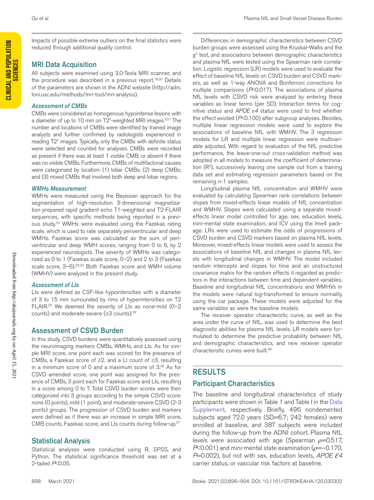Impacts of possible extreme outliers on the final statistics were reduced through additional quality control.

#### MRI Data Acquisition

All subjects were examined using 3.0-Tesla MRI scanner, and the procedure was described in a previous report.<sup>19,20</sup> Details of the parameters are shown in the ADNI website [\(http://adni.](http://adni.loni.usc.edu/methods/mri-tool/mri-analysis) [loni.usc.edu/methods/mri-tool/mri-analysis](http://adni.loni.usc.edu/methods/mri-tool/mri-analysis)).

#### *Assessment of CMBs*

CMBs were considered as homogenous hypointense lesions with a diameter of up to 10 mm on T2\*-weighted MRI images.<sup>2,21</sup> The number and locations of CMBs were identified by trained image analysts and further confirmed by radiologists experienced in reading T2\* images. Typically, only the CMBs with definite status were selected and counted for analyses. CMBs were recorded as present if there was at least 1 visible CMB, or absent if there was no visible CMBs. Furthermore, CMBs of multifactorial causes were categorized by location: (1) lobar CMBs; (2) deep CMBs; and (3) mixed CMBs that involved both deep and lobar regions.

#### *WMHs Measurement*

WMHs were measured using the Bayesian approach for the segmentation of high-resolution 3-dimensional magnetization prepared rapid gradient echo T1-weighted and T2-FLAIR sequences, with specific methods being reported in a previous study.22 WMHs were evaluated using the Fazekas rating scale, which is used to rate separately periventricular and deep WMHs. Fazekas score was calculated as the sum of periventricular and deep WMH scores, ranging from 0 to 6, by 2 experienced neurologists. The severity of WMHs was categorized as 0 to 1 (Fazekas scale score, 0–2) and 2 to 3 (Fazekas scale score, 3-6).<sup>23,24</sup> Both Fazekas score and WMH volume (WMHV) were analyzed in the present study.

#### *Assessment of LIs*

LIs were defined as CSF-like hypointensities with a diameter of 3 to 15 mm surrounded by rims of hyperintensities on T2 FLAIR.<sup>25</sup> We deemed the severity of LIs as none-mild  $(0-2)$ counts) and moderate-severe (≥3 counts).26

## Assessment of CSVD Burden

In this study, CSVD burdens were quantitatively assessed using the neuroimaging markers CMBs, WMHs, and LIs. As for simple MRI score, one point each was scored for the presence of CMBs, a Fazekas score of  $\geq$ 2, and a LI count of  $\geq$ 3, resulting in a minimum score of 0 and a maximum score of 3.26 As for CSVD amended score, one point was assigned for the presence of CMBs, 3 point each for Fazekas score and LIs, resulting in a score among 0 to 7. Total CSVD burden scores were then categorized into 3 groups according to the simple CSVD score: none (0 points), mild (1 point), and moderate-severe CSVD (2-3 points) groups. The progression of CSVD burden and markers were defined as if there was an increase in simple MRI score, CMB counts, Fazekas score, and LIs counts during follow-up.27

## Statistical Analysis

Statistical analyses were conducted using R, SPSS, and Python. The statistical significance threshold was set at a 2-tailed *P*<0.05.

Differences in demographic characteristics between CSVD burden groups were assessed using the Kruskal-Wallis and the  $\chi^2$  test, and associations between demographic characteristics and plasma NfL were tested using the Spearman rank correlation. Logistic regression (LR) models were used to evaluate the effect of baseline NfL levels on CSVD burden and CSVD markers, as well as 1-way ANOVA and Bonferroni corrections for multiple comparisons (*P*<0.017). The associations of plasma NfL levels with CSVD risk were analyzed by entering these variables as linear terms (per SD). Interaction terms for cognitive status and *APOE ε4* status were used to find whether the effect existed (*P*<0.100) after subgroup analyses. Besides, multiple linear regression models were used to explore the associations of baseline NfL with WMHV. The 3 regression models for LR and multiple linear regression were multivariable adjusted. With regard to evaluation of the NfL predictive performance, the leave-one-out cross-validation method was adopted in all models to measure the coefficient of determination  $(R<sup>2</sup>)$ , successively leaving one sample out from a training data set and estimating regression parameters based on the remaining n-1 samples.

Longitudinal plasma NfL concentration and WMHV were evaluated by calculating Spearman rank correlations between slopes from mixed-effects linear models of NfL concentration and WMHV. Slopes were calculated using a separate mixedeffects linear model controlled for age, sex, education levels, mini-mental state examination, and ICV using the lme4 package. LRs were used to estimate the odds of progressions of CSVD burden and CSVD markers based on plasma NfL levels. Moreover, mixed-effects linear models were used to assess the associations of baseline NfL and changes in plasma NfL levels with longitudinal changes in WMHV. The model included random intercepts and slopes for time and an unstructured covariance matrix for the random effects it regarded as predictors in the interactions between time and dependent variables. Baseline and longitudinal NfL concentrations and WMHVs in the models were natural log-transformed to ensure normality using the car package. These models were adjusted for the same variables as were the baseline models.

The receiver operator characteristic curve, as well as the area under the curve of NfL, was used to determine the best diagnostic abilities for plasma NfL levels. LR models were formulated to determine the predictive probability between NfL and demographic characteristics, and new receiver operator characteristic curves were built.<sup>28</sup>

## RESULTS

## Participant Characteristics

The baseline and longitudinal characteristics of study participants were shown in Table 1 and Table I in the [Data](https://www.ahajournals.org/doi/suppl/10.1161/STROKEAHA.120.030302)  [Supplement,](https://www.ahajournals.org/doi/suppl/10.1161/STROKEAHA.120.030302) respectively. Briefly, 496 nondemented subjects aged 72.0 years (SD=6.7; 242 females) were enrolled at baseline, and 387 subjects were included during the follow-up from the ADNI cohort. Plasma NfL levels were associated with age (Spearman *ρ*=0.517, *P*<0.001) and mini-mental state examination ( $ρ$ =−0.170, *P*=0.002), but not with sex, education levels, *APOE Ɛ4* carrier status, or vascular risk factors at baseline.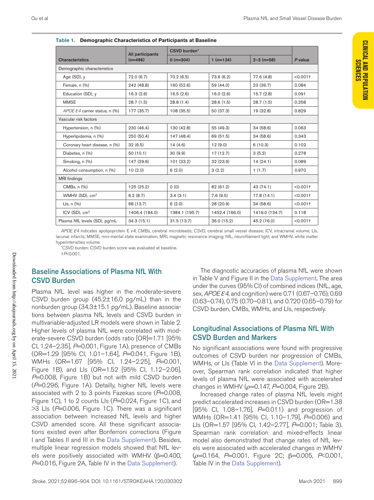**CLINICAL AND POPULATION SCIENCES**

**CLINICAL AND POPULATION** 

|                                           | All participants | <b>CSVD burden*</b> |                |                |             |  |
|-------------------------------------------|------------------|---------------------|----------------|----------------|-------------|--|
| <b>Characteristics</b>                    | $(n=496)$        | $0(n=304)$          | $1(n=134)$     | $2 - 3$ (n=58) | P value     |  |
| Demographic characteristics               |                  |                     |                |                |             |  |
| Age $(SD)$ , y                            | 72.0(6.7)        | 70.2(6.5)           | 73.6 (6.2)     | 77.6 (4.8)     | $< 0.001$ † |  |
| Female, n (%)                             | 242 (48.8)       | 160 (52.6)          | 59 (44.0)      | 23 (39.7)      | 0.084       |  |
| Education (SD), y                         | 16.3(2.6)        | 16.5(2.6)           | 16.0(2.6)      | 15.7(2.8)      | 0.091       |  |
| <b>MMSE</b>                               | 28.7(1.5)        | 28.8(1.4)           | 28.6(1.5)      | 28.7(1.5)      | 0.258       |  |
| APOE $\mathcal E$ 4 carrier status, n (%) | 177 (35.7)       | 108 (35.5)          | 50 (37.3)      | 19 (32.8)      | 0.829       |  |
| Vascular risk factors                     |                  |                     |                |                |             |  |
| Hypertension, n (%)                       | 230 (46.4)       | 130 (42.8)          | 55 (49.3)      | 34 (58.6)      | 0.063       |  |
| Hyperlipidemia, n (%)                     | 250 (50.4)       | 147 (48.4)          | 69 (51.5)      | 34 (58.6)      | 0.343       |  |
| Coronary heart disease, n (%)             | 32(6.5)          | 14(4.6)             | 12(9.0)        | 6(10.3)        | 0.102       |  |
| Diabetes, n (%)                           | 50(10.1)         | 30(9.9)             | 17(12.7)       | 3(5.2)         | 0.278       |  |
| Smoking, n (%)                            | 147 (29.6)       | 101(33.2)           | 32(23.9)       | 14(24.1)       | 0.089       |  |
| Alcohol consumption, n (%)                | 10(2.0)          | 6(2.0)              | 3(2.2)         | 1(1.7)         | 0.970       |  |
| <b>MRI</b> findings                       |                  |                     |                |                |             |  |
| CMBs, n (%)                               | 125 (25.2)       | 0(0)                | 82 (61.2)      | 43 (74.1)      | $< 0.001$ + |  |
| WMHV (SD), cm <sup>3</sup>                | 6.2(8.7)         | 3.4(3.1)            | 7.6(9.5)       | 17.8(14.1)     | $< 0.001$ + |  |
| Lls, $n$ $(\%)$                           | 68 (13.7)        | 6(2.0)              | 28 (20.9)      | 34 (58.6)      | $< 0.001$ † |  |
| ICV (SD), $cm3$                           | 1406.4 (184.0)   | 1384.1 (195.7)      | 1452.4 (166.0) | 1419.0 (134.7) | 0.118       |  |
| Plasma NfL levels (SD), pg/mL             | 34.3(15.1)       | 31.5(13.7)          | 36.0 (15.2)    | 45.2 (16.0)    | $< 0.001$ + |  |

**Table 1. Demographic Characteristics of Participants at Baseline**

*APOE Ɛ4* indicates apolipoprotein E *ε4*; CMBs, cerebral microbleeds; CSVD, cerebral small vessel disease; ICV, intracranial volume; LIs, lacunar infarcts; MMSE, mini-mental state examination; MRI, magnetic resonance imaging; NfL, neurofilament light; and WMHV, white matter hyperintensities volume.

\*CSVD burden: CSVD burden score was evaluated at baseline. †*P*<0.001.

## Baseline Associations of Plasma NfL With CSVD Burden

Plasma NfL level was higher in the moderate-severe CSVD burden group (45.2±16.0 pg/mL) than in the nonburden group (34.3±15.1 pg/mL). Baseline associations between plasma NfL levels and CSVD burden in multivariable-adjusted LR models were shown in Table 2. Higher levels of plasma NfL were correlated with moderate-severe CSVD burden (odds ratio [OR]=1.71 [95% Cl, 1.24-2.35], P=0.001, Figure 1A), presence of CMBs (OR=1.29 [95% CI, 1.01–1.64], *P*=0.041, Figure 1B), WMHs (OR=1.67 [95% CI, 1.24-2.25], P=0.001, Figure 1B), and LIs (OR=1.52 [95% CI, 1.12–2.06], *P*=0.008, Figure 1B) but not with mild CSVD burden (*P*=0.296, Figure 1A). Detailly, higher NfL levels were associated with 2 to 3 points Fazekas score (*P*=0.008, Figure 1C), 1 to 2 counts Lls ( $P=0.024$ , Figure 1C), and >3 LIs (*P*=0.006, Figure 1C). There was a significant association between increased NfL levels and higher CSVD amended score. All these significant associations existed even after Bonferroni corrections (Figure I and Tables II and III in the [Data Supplement](https://www.ahajournals.org/doi/suppl/10.1161/STROKEAHA.120.030302)). Besides, multiple linear regression models showed that NfL levels were positively associated with WMHV ( $β=0.400$ , *P*=0.016, Figure 2A, Table IV in the [Data Supplement\)](https://www.ahajournals.org/doi/suppl/10.1161/STROKEAHA.120.030302).

The diagnostic accuracies of plasma NfL were shown in Table V and Figure II in the [Data Supplement](https://www.ahajournals.org/doi/suppl/10.1161/STROKEAHA.120.030302). The area under the curves (95% CI) of combined indices (NfL, age, sex, *APOE Ɛ4*, and cognition) were 0.71 (0.67–0.76), 0.69 (0.63–0.74), 0.75 (0.70–0.81), and 0.720 (0.65–0.79) for CSVD burden, CMBs, WMHs, and LIs, respectively.

#### Longitudinal Associations of Plasma NfL With CSVD Burden and Markers

No significant associations were found with progressive outcomes of CSVD burden nor progression of CMBs, WMHs, or LIs (Table VI in the [Data Supplement](https://www.ahajournals.org/doi/suppl/10.1161/STROKEAHA.120.030302)). Moreover, Spearman rank correlation indicated that higher levels of plasma NfL were associated with accelerated changes in WMHV ( $ho$ =0.147, *P*=0.004, Figure 2B).

Increased change rates of plasma NfL levels might predict accelerated increases in CSVD burden (OR=1.38 [95% CI, 1.08–1.76], *P*=0.011) and progression of WMHs (OR=1.41 [95% CI, 1.10-1.79], P=0.006) and LIs (OR=1.57 [95% CI, 1.42–2.77], *P*=0.001; Table 3). Spearman rank correlation and mixed-effects linear model also demonstrated that change rates of NfL levels were associated with accelerated changes in WMHV (*ρ*=0.164, *P*=0.001, Figure 2C; β=0.005, *P*<0.001, Table IV in the [Data Supplement](https://www.ahajournals.org/doi/suppl/10.1161/STROKEAHA.120.030302)).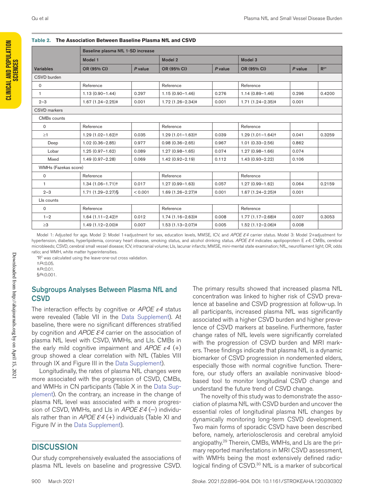#### **Table 2. The Association Between Baseline Plasma NfL and CSVD**

|                      | Baseline plasma NfL 1-SD increase |         |                     |         |                       |         |          |
|----------------------|-----------------------------------|---------|---------------------|---------|-----------------------|---------|----------|
|                      | Model 1<br>Model 2                |         | Model 3             |         |                       |         |          |
| <b>Variables</b>     | OR (95% CI)                       | P value | OR (95% CI)         | P value | OR (95% CI)           | P value | $R^{2*}$ |
| CSVD burden          |                                   |         |                     |         |                       |         |          |
| $\mathsf{O}$         | Reference                         |         | Reference           |         | Reference             |         |          |
| $\mathbf{1}$         | $1.13(0.90 - 1.44)$               | 0.297   | $1.15(0.90 - 1.46)$ | 0.276   | $1.14(0.89 - 1.46)$   | 0.296   | 0.4200   |
| $2 - 3$              | $1.67(1.24 - 2.25)$               | 0.001   | $1.72(1.26 - 2.34)$ | 0.001   | $1.71(1.24 - 2.35)$   | 0.001   |          |
| <b>CSVD</b> markers  |                                   |         |                     |         |                       |         |          |
| CMBs counts          |                                   |         |                     |         |                       |         |          |
| $\mathbf 0$          | Reference                         |         | Reference           |         | Reference             |         |          |
| $\geq$ 1             | $1.29(1.02 - 1.62)$ <sup>+</sup>  | 0.035   | $1.29(1.01 - 1.63)$ | 0.039   | $1.29(1.01 - 1.64)$   | 0.041   | 0.3259   |
| Deep                 | $1.02(0.36 - 2.85)$               | 0.977   | $0.98(0.36 - 2.65)$ | 0.967   | $1.01(0.33 - 2.56)$   | 0.862   |          |
| Lobar                | $1.25(0.97 - 1.62)$               | 0.089   | $1.27(0.98 - 1.65)$ | 0.074   | $1.27(0.98 - 1.66)$   | 0.074   |          |
| Mixed                | $1.49(0.97 - 2.28)$               | 0.069   | $1.42(0.92 - 2.19)$ | 0.112   | $1.43(0.93 - 2.22)$   | 0.106   |          |
| WMHs (Fazekas score) |                                   |         |                     |         |                       |         |          |
| 0                    | Reference                         |         | Reference           |         | Reference             |         |          |
| $\mathbf{1}$         | $1.34(1.06 - 1.71)$               | 0.017   | $1.27(0.99 - 1.63)$ | 0.057   | $1.27(0.99 - 1.62)$   | 0.064   | 0.2159   |
| $2 - 3$              | $1.71(1.29 - 2.27)$ §             | < 0.001 | $1.69(1.26 - 2.27)$ | 0.001   | $1.67(1.24 - 2.25)$ ‡ | 0.001   |          |
| Lls counts           |                                   |         |                     |         |                       |         |          |
| $\mathbf 0$          | Reference                         |         | Reference           |         | Reference             |         |          |
| $1 - 2$              | $1.64(1.11 - 2.42)$               | 0.012   | $1.74(1.16 - 2.63)$ | 0.008   | $1.77(1.17-2.68)$     | 0.007   | 0.3053   |
| $\geq 3$             | $1.49(1.12 - 2.00)$               | 0.007   | $1.53(1.13 - 2.07)$ | 0.005   | $1.52(1.12 - 2.06)$   | 0.008   |          |

Model 1: Adjusted for age. Model 2: Model 1+adjustment for sex, education levels, MMSE, ICV, and *APOE Ɛ4* carrier status. Model 3: Model 2+adjustment for hypertension, diabetes, hyperlipidemia, coronary heart disease, smoking status, and alcohol drinking status. *APOE Ɛ4* indicates apolipoprotein E *ε4*; CMBs, cerebral microbleeds; CSVD, cerebral small vessel disease; ICV, intracranial volume; LIs, lacunar infarcts; MMSE, mini-mental state examination; NfL, neurofilament light; OR, odds ratio; and WMH, white matter hyperintensities.

 $*$ R<sup>2</sup> was calculated using the leave-one-out cross validation.

†*P*<0.05.

‡*P*<0.01.

§*P*<0.001.

#### Subgroups Analyses Between Plasma NfL and **CSVD**

The interaction effects by cognitive or *APOE ε4* status were revealed (Table VII in the [Data Supplement\)](https://www.ahajournals.org/doi/suppl/10.1161/STROKEAHA.120.030302). At baseline, there were no significant differences stratified by cognition and *APOE Ɛ4* carrier on the association of plasma NfL level with CSVD, WMHs, and LIs. CMBs in the early mild cognitive impairment and *APOE*  $ε4$  (+) group showed a clear correlation with NfL (Tables VIII through IX and Figure III in the [Data Supplement\)](https://www.ahajournals.org/doi/suppl/10.1161/STROKEAHA.120.030302).

Longitudinally, the rates of plasma NfL changes were more associated with the progression of CSVD, CMBs, and WMHs in CN participants (Table X in the [Data Sup](https://www.ahajournals.org/doi/suppl/10.1161/STROKEAHA.120.030302)[plement](https://www.ahajournals.org/doi/suppl/10.1161/STROKEAHA.120.030302)). On the contrary, an increase in the change of plasma NfL level was associated with a more progression of CSVD, WMHs, and LIs in *APOE Ɛ4* (−) individuals rather than in  $APOEE4$  (+) individuals (Table XI and Figure IV in the [Data Supplement](https://www.ahajournals.org/doi/suppl/10.1161/STROKEAHA.120.030302)).

## **DISCUSSION**

Our study comprehensively evaluated the associations of plasma NfL levels on baseline and progressive CSVD.

The primary results showed that increased plasma NfL concentration was linked to higher risk of CSVD prevalence at baseline and CSVD progression at follow-up. In all participants, increased plasma NfL was significantly associated with a higher CSVD burden and higher prevalence of CSVD markers at baseline. Furthermore, faster change rates of NfL levels were significantly correlated with the progression of CSVD burden and MRI markers. These findings indicate that plasma NfL is a dynamic biomarker of CSVD progression in nondemented elders, especially those with normal cognitive function. Therefore, our study offers an available noninvasive bloodbased tool to monitor longitudinal CSVD change and understand the future trend of CSVD change.

The novelty of this study was to demonstrate the association of plasma NfL with CSVD burden and uncover the essential roles of longitudinal plasma NfL changes by dynamically monitoring long-term CSVD development. Two main forms of sporadic CSVD have been described before, namely, arteriolosclerosis and cerebral amyloid angiopathy.29 Therein, CMBs, WMHs, and LIs are the primary reported manifestations in MRI CSVD assessment, with WMHs being the most extensively defined radiological finding of CSVD.<sup>30</sup> NfL is a marker of subcortical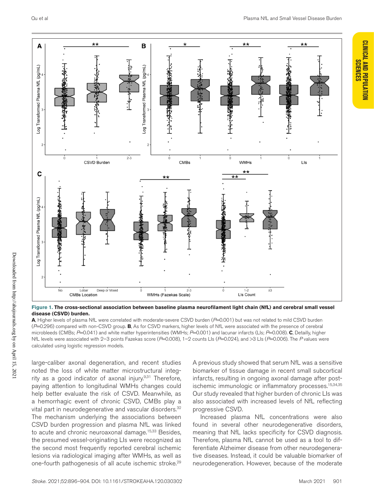**CLINICAL AND POPULATION SCIENCES**

**CLINICAL AND POPULATION** 



**Figure 1. The cross-sectional association between baseline plasma neurofilament light chain (NfL) and cerebral small vessel disease (CSVD) burden.**

**A**, Higher levels of plasma NfL were correlated with moderate-severe CSVD burden (*P*=0.001) but was not related to mild CSVD burden (*P*=0.296) compared with non-CSVD group. **B**, As for CSVD markers, higher levels of NfL were associated with the presence of cerebral microbleeds (CMBs; *P*=0.041) and white matter hyperintensities (WMHs; *P*=0.001) and lacunar infarcts (LIs; *P*=0.008). **C**, Detailly, higher NfL levels were associated with 2–3 points Fazekas score (*P*=0.008), 1–2 counts LIs (*P*=0.024), and >3 LIs (*P*=0.006). The *P* values were calculated using logistic regression models.

large-caliber axonal degeneration, and recent studies noted the loss of white matter microstructural integrity as a good indicator of axonal injury. $9,31$  Therefore, paying attention to longitudinal WMHs changes could help better evaluate the risk of CSVD. Meanwhile, as a hemorrhagic event of chronic CSVD, CMBs play a vital part in neurodegenerative and vascular disorders.<sup>32</sup> The mechanism underlying the associations between CSVD burden progression and plasma NfL was linked to acute and chronic neuroaxonal damage.<sup>15,33</sup> Besides, the presumed vessel-originating LIs were recognized as the second most frequently reported cerebral ischemic lesions via radiological imaging after WMHs, as well as one-fourth pathogenesis of all acute ischemic stroke.29 A previous study showed that serum NfL was a sensitive biomarker of tissue damage in recent small subcortical infarcts, resulting in ongoing axonal damage after postischemic immunologic or inflammatory processes.<sup>15,34,35</sup> Our study revealed that higher burden of chronic LIs was also associated with increased levels of NfL reflecting progressive CSVD.

Increased plasma NfL concentrations were also found in several other neurodegenerative disorders, meaning that NfL lacks specificity for CSVD diagnosis. Therefore, plasma NfL cannot be used as a tool to differentiate Alzheimer disease from other neurodegenerative diseases. Instead, it could be valuable biomarker of neurodegeneration. However, because of the moderate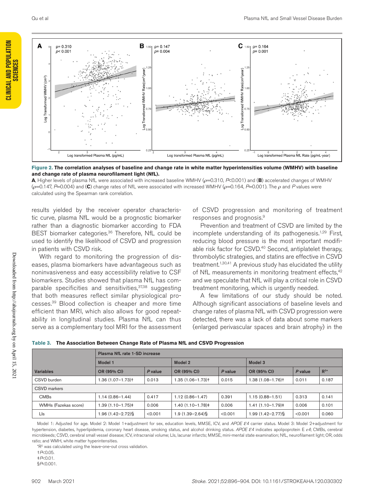



**Figure 2. The correlation analyses of baseline and change rate in white matter hyperintensities volume (WMHV) with baseline and change rate of plasma neurofilament light (NfL).**

**A**, Higher levels of plasma NfL were associated with increased baseline WMHV (*ρ*=0.310, *P*<0.001) and (**B**) accelerated changes of WMHV (*ρ*=0.147, *P*=0.004) and (**C**) change rates of NfL were associated with increased WMHV (*ρ*=0.164, *P*=0.001). The *ρ* and *P* values were calculated using the Spearman rank correlation.

results yielded by the receiver operator characteristic curve, plasma NfL would be a prognostic biomarker rather than a diagnostic biomarker according to FDA BEST biomarker categories.<sup>36</sup> Therefore, NfL could be used to identify the likelihood of CSVD and progression in patients with CSVD risk.

With regard to monitoring the progression of diseases, plasma biomarkers have advantageous such as noninvasiveness and easy accessibility relative to CSF biomarkers. Studies showed that plasma NfL has comparable specificities and sensitivities,<sup>37,38</sup> suggesting that both measures reflect similar physiological processes.39 Blood collection is cheaper and more time efficient than MRI, which also allows for good repeatability in longitudinal studies. Plasma NfL can thus serve as a complementary tool MRI for the assessment of CSVD progression and monitoring of treatment responses and prognosis.9

Prevention and treatment of CSVD are limited by the incomplete understanding of its pathogenesis.<sup>1,29</sup> First, reducing blood pressure is the most important modifiable risk factor for CSVD.<sup>40</sup> Second, antiplatelet therapy, thrombolytic strategies, and statins are effective in CSVD treatment.<sup>1,30,41</sup> A previous study has elucidated the utility of NfL measurements in monitoring treatment effects,<sup>42</sup> and we speculate that NfL will play a critical role in CSVD treatment monitoring, which is urgently needed.

A few limitations of our study should be noted. Although significant associations of baseline levels and change rates of plasma NfL with CSVD progression were detected, there was a lack of data about some markers (enlarged perivascular spaces and brain atrophy) in the

|                      | Plasma NfL rate 1-SD increase |         |                     |         |                       |         |                   |
|----------------------|-------------------------------|---------|---------------------|---------|-----------------------|---------|-------------------|
|                      | Model 1                       |         | Model 2             |         | Model 3               |         |                   |
| <b>Variables</b>     | OR (95% CI)                   | P value | OR (95% CI)         | P value | OR (95% CI)           | P value | $\mathbb{R}^{2*}$ |
| CSVD burden          | .36 (1.07–1.73)†              | 0.013   | 1.35 (1.06-1.73)t   | 0.015   | $1.38(1.08 - 1.76)$   | 0.011   | 0.187             |
| CSVD markers         |                               |         |                     |         |                       |         |                   |
| <b>CMBs</b>          | $1.14(0.86 - 1.44)$           | 0.417   | $1.12(0.86 - 1.47)$ | 0.391   | $1.15(0.88 - 1.51)$   | 0.313   | 0.141             |
| WMHs (Fazekas score) | 1.39 (1.10–1.75)‡             | 0.006   | 1.40 (1.10-1.78)‡   | 0.006   | $1.41(1.10 - 1.79)$   | 0.006   | 0.101             |
| Lls                  | .96 (1.42–2.72)§              | < 0.001 | 1.9 (1.39–2.64)§    | < 0.001 | $1.99(1.42 - 2.77)$ § | < 0.001 | 0.060             |

|  | Table 3. The Association Between Change Rate of Plasma NfL and CSVD Progression |
|--|---------------------------------------------------------------------------------|
|--|---------------------------------------------------------------------------------|

Model 1: Adjusted for age. Model 2: Model 1+adjustment for sex, education levels, MMSE, ICV, and *APOE Ɛ4* carrier status. Model 3: Model 2+adjustment for hypertension, diabetes, hyperlipidemia, coronary heart disease, smoking status, and alcohol drinking status. *APOE Ɛ4* indicates apolipoprotein E *ε4*; CMBs, cerebral microbleeds; CSVD, cerebral small vessel disease; ICV, intracranial volume; LIs, lacunar infarcts; MMSE, mini-mental state examination; NfL, neurofilament light; OR, odds ratio; and WMH, white matter hyperintensities.

 $*$ R<sup>2</sup> was calculated using the leave-one-out cross validation.

†*P*<0.05.

‡*P*<0.01.

§*P*<0.001.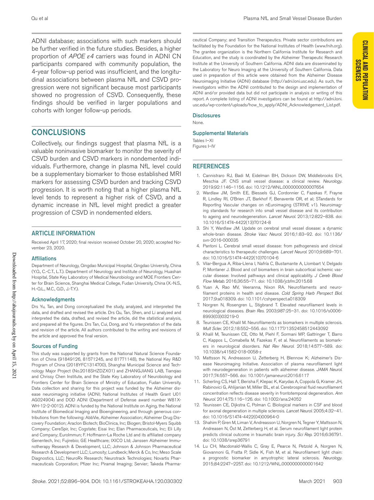ADNI database; associations with such markers should be further verified in the future studies. Besides, a higher proportion of *APOE ε4* carriers was found in ADNI CN participants compared with community population, the 4-year follow-up period was insufficient, and the longitudinal associations between plasma NfL and CSVD progression were not significant because most participants showed no progression of CSVD. Consequently, these findings should be verified in larger populations and cohorts with longer follow-up periods.

## **CONCLUSIONS**

Collectively, our findings suggest that plasma NfL is a valuable noninvasive biomarker to monitor the severity of CSVD burden and CSVD markers in nondemented individuals. Furthermore, change in plasma NfL level could be a supplementary biomarker to those established MRI markers for assessing CSVD burden and tracking CSVD progression. It is worth noting that a higher plasma NfL level tends to represent a higher risk of CSVD, and a dynamic increase in NfL level might predict a greater progression of CSVD in nondemented elders.

#### ARTICLE INFORMATION

Received April 17, 2020; final revision received October 20, 2020; accepted November 23, 2020.

#### **Affiliations**

Department of Neurology, Qingdao Municipal Hospital, Qingdao University, China (Y.Q., C.-C.T., L.T.). Department of Neurology and Institute of Neurology, Huashan Hospital, State Key Laboratory of Medical Neurobiology and MOE Frontiers Center for Brain Science, Shanghai Medical College, Fudan University, China (X.-N.S., H.-Q.L., M.C., Q.D., J.-T.Y.).

#### Acknowledgments

Drs Yu, Tan, and Dong conceptualized the study, analyzed, and interpreted the data, and drafted and revised the article. Drs Qu, Tan, Shen, and Li analyzed and interpreted the data, drafted, and revised the article, did the statistical analysis, and prepared all the figures. Drs Tan, Cui, Dong, and Yu interpretation of the data and revision of the article. All authors contributed to the writing and revisions of the article and approved the final version.

#### Sources of Funding

This study was supported by grants from the National Natural Science Foundation of China (91849126, 81571245, and 81771148), the National Key R&D Program of China (2018YFC1314700), Shanghai Municipal Science and Technology Major Project (No.2018SHZDZX01) and ZHANGJIANG LAB, Tianqiao and Chrissy Chen Institute, and the State Key Laboratory of Neurobiology and Frontiers Center for Brain Science of Ministry of Education, Fudan University. Data collection and sharing for this project was funded by the Alzheimer disease neuroimaging initiative (ADNI; National Institutes of Health Grant U01 AG024904) and DOD ADNI (Department of Defense award number W81X-WH-12-2-0012). ADNI is funded by the National Institute on Aging, the National Institute of Biomedical Imaging and Bioengineering, and through generous contributions from the following: AbbVie, Alzheimer Association; Alzheimer Drug Discovery Foundation; Araclon Biotech; BioClinica, Inc; Biogen; Bristol-Myers Squibb Company; CereSpir, Inc; Cogstate; Eisai Inc; Elan Pharmaceuticals, Inc; Eli Lilly and Company; EuroImmun; F. Hoffmann-La Roche Ltd and its affiliated company Genentech, Inc; Fujirebio; GE Healthcare; IXICO Ltd; Janssen Alzheimer Immunotherapy Research & Development, LLC; Johnson & Johnson Pharmaceutical Research & Development LLC; Lumosity; Lundbeck; Merck & Co, Inc; Meso Scale Diagnostics, LLC; NeuroRx Research; Neurotrack Technologies; Novartis Pharmaceuticals Corporation; Pfizer Inc; Piramal Imaging; Servier; Takeda Pharma-

**CLINICAL AND POPULATION SCIENCES**

**CLINICAL AND POPULATION** 

ceutical Company; and Transition Therapeutics. Private sector contributions are facilitated by the Foundation for the National Institutes of Health [\(www.fnih.org](www.fnih.org)). The grantee organization is the Northern California Institute for Research and Education, and the study is coordinated by the Alzheimer Therapeutic Research Institute at the University of Southern California. ADNI data are disseminated by the Laboratory for Neuro Imaging at the University of Southern California. Data used in preparation of this article were obtained from the Alzheimer Disease Neuroimaging Initiative (ADNI) database [\(http://adni.loni.usc.edu\)](http://adni.loni.usc.edu). As such, the investigators within the ADNI contributed to the design and implementation of ADNI and/or provided data but did not participate in analysis or writing of this report. A complete listing of ADNI investigators can be found at [http://adni.loni.](http://adni.loni.usc.edu/wp-content/uploads/how_to_apply/ADNI_Acknowledgement_List.pdf) [usc.edu/wp-content/uploads/how\\_to\\_apply/ADNI\\_Acknowledgement\\_List.pdf.](http://adni.loni.usc.edu/wp-content/uploads/how_to_apply/ADNI_Acknowledgement_List.pdf)

#### **Disclosures**

None.

#### Supplemental Materials

Tables I–XI Figures I–IV

#### REFERENCES

- 1. Cannistraro RJ, Badi M, Eidelman BH, Dickson DW, Middlebrooks EH, Meschia JF. CNS small vessel disease: a clinical review. *Neurology*. 2019;92:1146–1156. doi: 10.1212/WNL.0000000000007654
- 2. Wardlaw JM, Smith EE, Biessels GJ, Cordonnier C, Fazekas F, Frayne R, Lindley RI, O'Brien JT, Barkhof F, Benavente OR, et al; STandards for ReportIng Vascular changes on nEuroimaging (STRIVE v1). Neuroimaging standards for research into small vessel disease and its contribution to ageing and neurodegeneration. *Lancet Neurol*. 2013;12:822–838. doi: 10.1016/S1474-4422(13)70124-8
- 3. Shi Y, Wardlaw JM. Update on cerebral small vessel disease: a dynamic whole-brain disease. *Stroke Vasc Neurol*. 2016;1:83–92. doi: 10.1136/ svn-2016-000035
- 4. Pantoni L. Cerebral small vessel disease: from pathogenesis and clinical characteristics to therapeutic challenges. *Lancet Neurol*. 2010;9:689–701. doi: 10.1016/S1474-4422(10)70104-6
- 5. Vilar-Bergua A, Riba-Llena I, Nafría C, Bustamante A, Llombart V, Delgado P, Montaner J. Blood and csf biomarkers in brain subcortical ischemic vascular disease: Involved pathways and clinical applicability. *J Cereb Blood Flow Metab*. 2016;36:55–71. doi: 10.1038/jcbfm.2015.68
- 6. Yuan A, Rao MV, Veeranna, Nixon RA. Neurofilaments and neurofilament proteins in health and disease. *Cold Spring Harb Perspect Biol*. 2017;9:a018309. doi: 10.1101/cshperspect.a018309
- 7. Norgren N, Rosengren L, Stigbrand T. Elevated neurofilament levels in neurological diseases. *Brain Res*. 2003;987:25–31. doi: 10.1016/s0006- 8993(03)03219-0
- Teunissen CE, Khalil M. Neurofilaments as biomarkers in multiple sclerosis. *Mult Scler*. 2012;18:552–556. doi: 10.1177/1352458512443092
- 9. Khalil M, Teunissen CE, Otto M, Piehl F, Sormani MP, Gattringer T, Barro C, Kappos L, Comabella M, Fazekas F, et al. Neurofilaments as biomarkers in neurological disorders. *Nat Rev Neurol*. 2018;14:577–589. doi: 10.1038/s41582-018-0058-z
- 10. Mattsson N, Andreasson U, Zetterberg H, Blennow K; Alzheimer's Disease Neuroimaging Initiative. Association of plasma neurofilament light with neurodegeneration in patients with alzheimer disease. *JAMA Neurol*. 2017;74:557–566. doi: 10.1001/jamaneurol.2016.6117
- 11. Scherling CS, Hall T, Berisha F, Klepac K, Karydas A, Coppola G, Kramer JH, Rabinovici G, Ahlijanian M, Miller BL, et al. Cerebrospinal fluid neurofilament concentration reflects disease severity in frontotemporal degeneration. *Ann Neurol*. 2014;75:116–126. doi: 10.1002/ana.24052
- 12. Teunissen CE, Dijkstra C, Polman C. Biological markers in CSF and blood for axonal degeneration in multiple sclerosis. *Lancet Neurol*. 2005;4:32–41. doi: 10.1016/S1474-4422(04)00964-0
- 13. Shahim P, Gren M, Liman V, Andreasson U, Norgren N, Tegner Y, Mattsson N, Andreasen N, Öst M, Zetterberg H, et al. Serum neurofilament light protein predicts clinical outcome in traumatic brain injury. *Sci Rep*. 2016;6:36791. doi: 10.1038/srep36791
- 14. Lu CH, Macdonald-Wallis C, Gray E, Pearce N, Petzold A, Norgren N, Giovannoni G, Fratta P, Sidle K, Fish M, et al. Neurofilament light chain: a prognostic biomarker in amyotrophic lateral sclerosis. *Neurology*. 2015;84:2247–2257. doi: 10.1212/WNL.0000000000001642